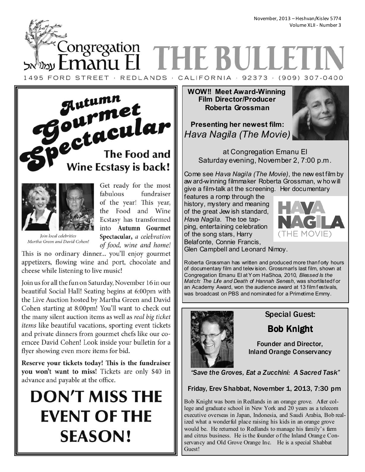November, 2013 – Heshvan/Kislev 5774 Volume XLII - Number 3

ongregation **THE B** manu Fl 1495 FORD STREET · REDLANDS · CALIFORNIA · 92373 · (909) 307-0400





Get ready for the most fundraiser fabulous of the year! This year, the Food and Wine Ecstasy has transformed into Autumn Gourmet Spectacular, a celebration of food, wine and home!

Join local celebrities Martha Green and David Cohen!

This is no ordinary dinner... you'll enjoy gourmet appetizers, flowing wine and port, chocolate and cheese while listening to live music!

Join us for all the fun on Saturday, November 16 in our beautiful Social Hall! Seating begins at 6:00pm with the Live Auction hosted by Martha Green and David Cohen starting at 8:00pm! You'll want to check out the many silent auction items as well as real big ticket *items* like beautiful vacations, sporting event tickets and private dinners from gourmet chefs like our coemcee David Cohen! Look inside your bulletin for a flyer showing even more items for bid.

Reserve your tickets today! This is the fundraiser you won't want to miss! Tickets are only \$40 in advance and payable at the office.

# **DON'T MISS THE EVENT OF THE SEASON!**

**WOW!! Meet Award-Winning Film Director/Producer Roberta Grossman** 

**Presenting her newest film:**  *Hava Nagila (The Movie)* 



at Congregation Emanu El Saturday evening, November 2, 7:00 p.m.

Come see *Hava Nagila (The Movie)*, the new est film by aw ard-winning filmmaker Roberta Grossman, w ho will give a film-talk at the screening. Her documentary

features a romp through the history, mystery and meaning of the great Jew ish standard, *Hava Nagila*. The toe tapping, entertaining celebration of the song stars, Harry Belafonte, Connie Francis,



Glen Campbell and Leonard Nimoy.

Roberta Grossman has written and produced more than f orty hours of documentary film and telev ision. Grossman's last film, shown at Congregation Emanu El at Yom HaShoa, 2010, *Blessed Is the Match: The Life and Death of Hannah Senesh*, was shortlisted f or an Academy Award, won the audience award at 13 film f estivals, was broadcast on PBS and nominated for a Primetime Emmy.



# Special Guest:

Bob Knight

Founder and Director, Inland Orange Conservancy

*"Save the Groves, Eat a Zucchini: A Sacred Task"* 

Friday, Erev Shabbat, November 1, 2013, 7:30 pm

Bob Knight was born in Redlands in an orange grove. After college and graduate school in New York and 20 years as a telecom executive overseas in Japan, Indonesia, and Saudi Arabia, Bob realized what a wonderful place raising his kids in an orange grove would be. He returned to Redlands to manage his family's farm and citrus business. He is the founder of the Inland Orange Conservancy and Old Grove Orange Inc. He is a special Shabbat Guest!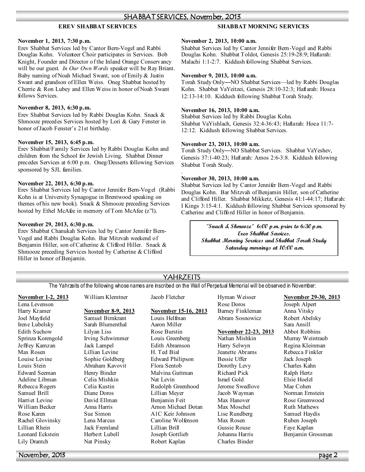### SHABBAT SERVICES, November, 2013

.

### **EREV SHABBAT SERVICES**

#### **SHABBAT MORNING SERVICES**

#### **ovember 1, 2013, 7:30 p.m.**

Erev Shabbat Services led by Cantor Bern-Vogel and Rabbi Douglas Kohn. Volunteer Choir participates in Services. Bob Knight, Founder and Director of the Inland Orange Conservancy will be our guest. *In Our Own Words* speaker will be Ray Briant. Baby naming of Noah Michael Swant, son of Emily & Justin Swant and grandson of Ellen Weiss. Oneg Shabbat hosted by Cherrie & Ron Lubey and Ellen Weiss in honor of Noah Swant follows Services.

### **ovember 8, 2013, 6:30 p.m.**

Erev Shabbat Services led by Rabbi Douglas Kohn. Snack & Shmooze precedes Services hosted by Lori & Gary Fenster in honor of Jacob Fenster's 21st birthday.

#### **ovember 15, 2013, 6:45 p.m.**

Erev Shabbat/Family Services led by Rabbi Douglas Kohn and children from the School for Jewish Living. Shabbat Dinner precedes Services at 6:00 p.m. Oneg/Desserts following Services sponsored by SJL families.

#### **ovember 22, 2013, 6:30 p.m.**

Erev Shabbat Services led by Cantor Jennifer Bern-Vogel (Rabbi Kohn is at University Synagogue in Brentwood speaking on themes of his new book). Snack & Shmooze preceding Services hosted by Ethel McAfee in memory of Tom McAfee (z''l).

#### **ovember 29, 2013, 6:30 p.m.**

Erev Shabbat Chanukah Services led by Cantor Jennifer Bern-Vogel and Rabbi Douglas Kohn. Bar Mitzvah weekend of Benjamin Hiller, son of Catherine & Clifford Hiller. Snack & Shmooze preceding Services hosted by Catherine & Clifford Hiller in honor of Benjamin.

#### **ovember 2, 2013, 10:00 a.m.**

Shabbat Services led by Cantor Jennifer Bern-Vogel and Rabbi Douglas Kohn. Shabbat Toldot, Genesis 25:19-28:9; Haftarah: Malachi 1:1-2:7. Kiddush following Shabbat Services.

#### **ovember 9, 2013, 10:00 a.m.**

Torah Study Only—NO Shabbat Services—led by Rabbi Douglas Kohn. Shabbat VaYeitzei, Genesis 28:10-32:3; Haftarah: Hosea 12:13-14:10. Kiddush following Shabbat Torah Study.

#### **ovember 16, 2013, 10:00 a.m.**

Shabbat Services led by Rabbi Douglas Kohn. Shabbat VaYishlach, Genesis 32:4-36:43; Haftarah: Hoea 11:7- 12:12. Kiddush following Shabbat Services.

#### **ovember 23, 2013, 10:00 a.m.**

Torah Study Only—NO Shabbat Services. Shabbat VaYeshev, Genesis 37:1-40:23; Haftarah: Amos 2:6-3:8. Kiddush following Shabbat Torah Study.

#### **ovember 30, 2013, 10:00 a.m.**

Shabbat Services led by Cantor Jennifer Bern-Vogel and Rabbi Douglas Kohn. Bar Mitzvah of Benjamin Hiller, son of Catherine and Clifford Hiller. Shabbat Mikketz, Genesis 41:1-44:17; Haftarah: I Kings 3:15-4:1. Kiddush following Shabbat Services sponsored by Catherine and Clifford Hiller in honor of Benjamin.

> **"Snack & Shmooze" 6:00 p.m. prior to 6:30 p.m. Erev Shabbat Services. Shabbat Morning Services and Shabbat Torah Study Saturday mornings at 10:00 a.m.**

#### **ovember 1-2, 2013** Lena Levenson Harry Kramer Joel Mayfield Irene Lubelsky Edith Suchow Sprinza Korengold Jeffrey Kamzan Max Rosen Louise Levine Louis Stein Edward Seeman Adeline Libman Rebecca Rogers Samuel Brill Harriet Levine William Becker Rose Karen Rachel Glovinsky Lillian Rhein Leonard Eckstein Lily Drantch William Klemtner **ovember 8-9, 2013** Samuel Birnkrant Sarah Blumenthal Lilyan Liss Irving Schwimmer Jack Lampel Lillian Levine Sophie Goldberg Abraham Kavovit Henry Binder Celia Mishkin Celia Kustin Diane Doros David Ellman Anna Harris Sue Simon Lena Marcus Jack Fremland Herbert Lubell Nat Pinsky Jacob Fletcher **ovember 15-16, 2013** Louis Helfman Aaron Miller Rose Burstin Louis Greenberg Edith Abramson H. Ted Bial Edward Philipson Flora Sentob Malvina Guttman Nat Levin Rudolph Greenhood Lillian Meyer Benjamin Feit Arnon Michael Dotan A1C Keir Johnson Caroline Wolfenson Lillian Brill Joseph Gottlieb Robert Kaplan Hyman Weisser Rose Doros Barney Finkleman Abram Sosnowicz **ovember 22-23, 2013** Nathan Mishkin Harry Selwyn Jeanette Abrams Bessie Uffer Dorothy Levy Richard Pick Israel Gold Jerome Swedlove Jacob Wayman Max Hanover Max Moschel Lise Rundberg Max Rosen Gussie Rouse Johanna Harris Charles Binder **ovember 29-30, 2013** Joseph Alpert Anna Vitsky Robert Abelsky Sara Ansill Abbot Robbins Murray Weintraub Regina Kleinman Rebecca Finkler Jack Joseph Charles Kahn Ralph Hertz Elsie Hoelzl Mae Cohen Norman Ernstein Rose Greenwood Ruth Mathews Samuel Haydis Ruben Joseph Faye Kaplan Benjamin Grossman YAHRZEITS The Yahrzeits of the following whose names are inscribed on the Wall of Perpetual Memorial will be observed in November:

November, 2013 page 2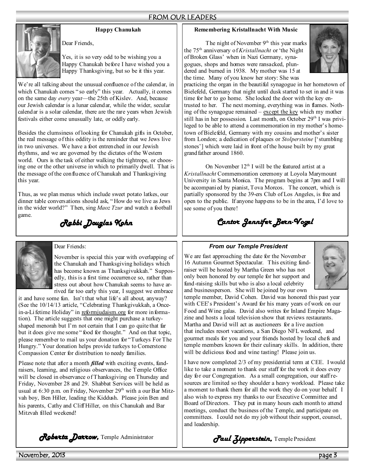

**Happy Chanukah** 

Yes, it is so very odd to be wishing you a Happy Chanukah before I have wished you a Happy Thanksgiving, but so be it this year.

We're all talking about the unusual confluence of the calendar, in which Chanukah comes " so early" this year. Actually, it comes on the same day *every* year—the 25th of Kislev. And, because our Jewish calendar is a lunar calendar, while the wider, secular calendar is a solar calendar, there are the rare years when Jewish festivals either come unusually late, or oddly early.

Dear Friends,

Besides the clumsiness of looking for Chanukah gifts in October, the real message of this oddity is the reminder that we Jews live in two universes. We have a foot entrenched in our Jewish rhythms, and we are governed by the dictates of the Western world. Ours is the task of either walking the tightrope, or choosing one or the other universe in which to primarily dwell. That is the message of the confluence of Chanukah and Thanksgiving this year.

Thus, as we plan menus which include sweet potato latkes, our dinner table conversations should ask, " How do we live as Jews in the wider world?" Then, sing *Maoz Tzur* and watch a football game.

*Rabbi Douglas Kohn* 



# Dear Friends:

November is special this year with overlapping of the Chanukah and Thanksgiving holidays which has become known as Thanksgivukkah." Supposedly, this is a first time occurrence so, rather than stress out about how Chanukah seems to have arrived far too early this year, I suggest we embrace

it and have some fun. Isn't that what life's all about, anyway? (See the 10/14/13 article, "Celebrating Thankgivukkah, a Oncein-a-Lifetime Holiday" in reformjudaism.org for more information). The article suggests that one might purchase a turkeyshaped menorah but I'm not certain that I can go quite that far but it does give me some " food for thought." And on that topic, please remember to mail us your donation for "Turkeys For The Hungry." Your donation helps provide turkeys to Cornerstone Compassion Center for distribution to needy families.

Please note that after a month *filled* with exciting events, fundraisers, learning, and religious observances, the Temple Office will be closed in observance of Thanksgiving on Thursday and Friday, November 28 and 29. Shabbat Services will be held as usual at 6:30 p.m. on Friday, November 29<sup>th</sup> with a our Bar Mitzvah boy, Ben Hiller, leading the Kiddush. Please join Ben and his parents, Cathy and Cliff Hiller, on this Chanukah and Bar Mitzvah filled weekend!

# **Remembering Kristallnacht With Music**

The night of November  $9<sup>th</sup>$  this year marks the 75th anniversary of *Kristallnacht* or 'the Night of Broken Glass' when in Nazi Germany, synagogues, shops and homes were ransacked, plundered and burned in 1938. My mother was 15 at the time. Many of you know her story: She was



practicing the organ in the beautiful synagogue in her hometown of Bielefeld, Germany that night until dusk started to set in and it was time for her to go home. She locked the door with the key entrusted to her. The next morning, everything was in flames. Nothing of the synagogue remained – except the key which my mother still has in her possession. Last month, on October 29th I was privileged to be able to attend a commemoration in my mother's hometown of Bielefeld, Germany with my cousins and mother's sister from London; a dedication of plaques or *Stolpersteine* ['stumbling stones'] which were laid in front of the house built by my great grandfather around 1860.

On November  $12<sup>th</sup>$  I will be the featured artist at a *Kristallnacht* Commemoration ceremony at Loyola Marymount University in Santa Monica. The program begins at 7pm and I will be accompanied by pianist, Tova Morcos. The concert, which is partially sponsored by the 39-ers Club of Los Angeles, is free and open to the public. If anyone happens to be in the area, I'd love to see some of you there!

# *Cantor Jennifer Bern- Cantor Jennifer Bern-Vogel*

# *From our Temple President*

We are fast approaching the date for the November 16 Autumn Gourmet Spectacular. This exiting fundraiser will be hosted by Martha Green who has not only been honored by our temple for her support and fund-raising skills but who is also a local celebrity and businessperson. She will be joined by our own



temple member, David Cohen. David was honored this past year with CEE's President's Award for his many years of work on our Food and Wine galas. David also writes for Inland Empire Magazine and hosts a local television show that reviews restaurants. Martha and David will act as auctioneers for a live auction that includes resort vacations, a San Diego NFL weekend, and gourmet meals for you and your friends hosted by local chefs and temple members known for their culinary skills. In addition, there will be delicious food and wine tasting! Please join us.

I have now completed 2/3 of my presidential term at CEE. I would like to take a moment to thank our staff for the work it does every day for our Congregation. As a small congregation, our staff resources are limited so they shoulder a heavy workload. Please take a moment to thank them for all the work they do on your behalf. I also wish to express my thanks to our Executive Committee and Board of Directors. They put in many hours each month to attend meetings, conduct the business of the Temple, and participate on committees. I could not do my job without their support, counsel, and leadership.

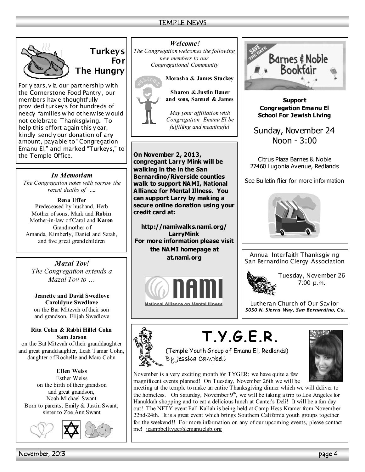# TEMPLE NEWS



**Turkeys For The Hungry** 

*For y ears, v ia our partnership with the Cornerstone Food Pantry , our members hav e thoughtfully prov ided turkey s for hundreds of needy families who otherwise would not celebrate Thanksgiving. To help this effort again this y ear, kindly send y our donation of any amount, payable to "Congregation Emanu El," and marked "Turkeys," to the Temple Office.*

# *In Memoriam*

*The Congregation notes with sorrow the recent deaths of ….* 

**Rena Uffer**  Predeceased by husband, Herb Mother of sons, Mark and **Robin** Mother-in-law of Carol and **Karen** Grandmother of Amanda, Kimberly, Daniel and Sarah, and five great grandchildren

*Mazal Tov! The Congregation extends a Mazal Tov to …* 

**Jeanette and David Swedlove Caroldyne Swedlove**  on the Bar Mitzvah of their son and grandson, Elijah Swedlove

#### **Rita Cohn & Rabbi Hillel Cohn Sam Jarson**

on the Bat Mitzvah of their granddaughter and great granddaughter, Leah Tamar Cohn, daughter of Rochelle and Marc Cohn

**Ellen Weiss**  Esther Weiss on the birth of their grandson and great grandson, Noah Michael Swant Born to parents, Emily & Justin Swant, sister to Zoe Ann Swant



*Welcome! The Congregation welcomes the following new members to our Congregational Community* 



**Morasha & James Stuckey Sharon & Justin Bauer and sons, Samuel & James** 

*May your affiliation with Congregation Emanu El be fulfilling and meaningful*

**On November 2, 2013, congregant Larry Mink will be walking in the in the San Bernardino/Riverside counties walk to support NAMI, National Alliance for Mental Illness. You can support Larry by making a secure online donation using your credit card at:** 

**http://namiwalks.nami.org/ LarryMink For more information please visit the NAMI homepage at at.nami.org**





**Support Congregation Emanu El School For Jewish Living** 

Sunday, November 24 Noon - 3:00

Citrus Plaza Barnes & Noble 27460 Lugonia Avenue, Redlands

See Bulletin flier for more information



*Annual Interfaith Thanksgiving San Bernardino Clergy Association* 



*Tuesday, November 26 7:00 p.m.* 

*Lutheran Church of Our Sav ior 5050 N. Sierra Way, San Bernardino, Ca.* 

# **T.Y.G.E.R.**



(Temple Youth Group of Emanu El, Redlands) By Jessica Campbell

November is a very exciting month for TYGER; we have quite a few magnificent events planned! On Tuesday, November 26th we will be

meeting at the temple to make an entire Thanksgiving dinner which we will deliver to the homeless. On Saturday, November  $9<sup>th</sup>$ , we will be taking a trip to Los Angeles for Hanukkah shopping and to eat a delicious lunch at Canter's Deli! It will be a fun day out! The NFTY event Fall Kallah is being held at Camp Hess Kramer from November 22nd-24th. It is a great event which brings Southern California youth groups together for the weekend!! For more information on any of our upcoming events, please contact me! jcampbelltyger@emanuelsb.org

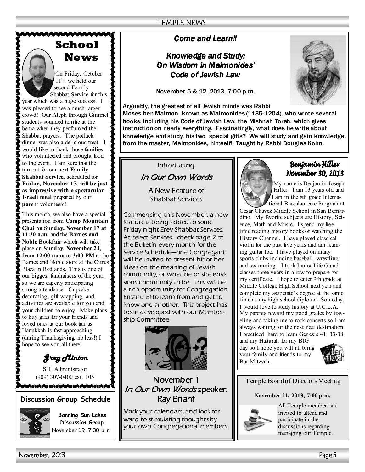# **School News**



On Friday, October

 $11^{th}$ , we held our second Family Shabbat Service for this year which was a huge success. I

was pleased to see a much larger crowd! Our Aleph through Gimmel students sounded terrific at the bema when they performed the Shabbat prayers. The potluck dinner was also a delicious treat. I would like to thank those families who volunteered and brought food to the event. I am sure that the turnout for our next **Family Shabbat Service,** scheduled for Friday, November 15, will be just **as impressive with a spectacular Israeli meal** prepared by our **pare**nt volunteers!

This month, we also have a special presentation from **Camp Mountain Chai on Sunday, November 17 at 11:30 a.m.** and the **Barnes and oble Bookfair** which will take place on **Sunday**, November 24, **from 12:00 noon to 3:00 PM** at the Barnes and Noble store at the Citrus Plaza in Redlands. This is one of our biggest fundraisers of the year, so we are eagerly anticipating strong attendance. Cupcake decorating, gift wrapping, and activities are available for you and your children to enjoy. Make plans to buy gifts for your friends and loved ones at our book fair as Hanukkah is fast approaching (during Thanksgiving, no less!) I hope to see you all there!

*Greg Minton Greg Minton* 

SJL Administrator (909) 307-0400 ext. 105

Лиилиппининниния

# **Discussion Group Schedule**



**Banning Sun Lakes Discussion Group**  November 19, 7:30 p.m.

# *Come and Learn!! Come and Learn!!*

# *Knowledge and Study: Knowledge and Study:*  **On Wisdom in Maimonides'** *Code of Jewish Law Code of Jewish Law*

November 5 & 12, 2013, 7:00 p.m.



Arguably, the greatest of all Jewish minds was Rabbi Moses ben Maimon, known as Maimonides (1135-1204), who wrote several books, including his Code of Jewish Law, the Mishnah Torah, which gives instruction on nearly everything. Fascinatingly, what does he write about knowledge and study, his two special gifts? We will study and gain knowledge, from the master, Maimonides, himself! Taught by Rabbi Douglas Kohn.

*Introducing: In Our Own Words In Words* 

> *A New Feature of Shabbat Services*

*Commencing this November, a new feature is being added to some Friday night Erev Shabbat Services. At select Services—check page 2 of the Bulletin every month for the Service Schedule—one Congregant will be invited to present his or her ideas on the meaning of Jewish community, or what he or she envisions community to be. This will be a rich opportunity for Congregation Emanu El to learn from and get to know one another. This project has been developed with our Membership Committee.* 



# *November 1 1 In Our Own Words* speaker: *Ray Briant Ray Briant*

*Mark your calendars, and look forward to stimulating thoughts by your own Congregational members.* 

# Benjamin Hiller November 30, 2013

My name is Benjamin Joseph Hiller. I am 13 years old and I am in the 8th grade International Baccalaureate Program at

Cesar Chavez Middle School in San Bernardino. My favorite subjects are History, Science, Math and Music. I spend my free time reading history books or watching the History Channel. I have played classical violin for the past five years and am learning guitar too. I have played on many sports clubs including baseball, wrestling and swimming. I took Junior Life Guard classes three years in a row to prepare for my certificate. I hope to enter 9th grade at Middle College High School next year and complete my associate's degree at the same time as my high school diploma. Someday, I would love to study history at U.C.L.A. My parents reward my good grades by traveling and taking me to rock concerts so I am always waiting for the next neat destination. I practiced hard to learn Genesis 41: 33-38 and my Haftarah for my BIG

day so I hope you will all bring your family and friends to my Bar Mitzvah.



Temple Board of Directors Meeting

# **ovember 21, 2013, 7:00 p.m.**



All Temple members are invited to attend and participate in the discussions regarding managing our Temple.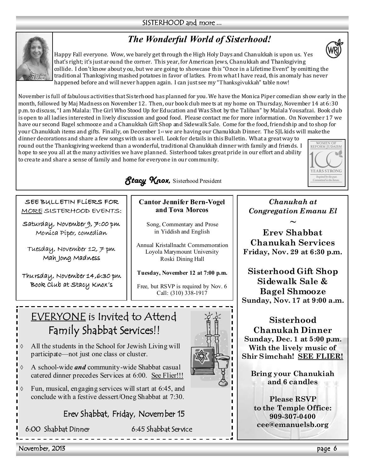# SISTERHOOD and more ...

# *The Wonderful World of Sisterhood!*

Happy Fall everyone. Wow, we barely get through the High Holy Days and Chanukkah is upon us. Yes that's right; it's just around the corner. This year, for American Jews, Chanukkah and Thanksgiving collide. I don't know about you, but we are going to showcase this "Once in a Lifetime Event" by omitting the traditional Thanksgiving mashed potatoes in favor of latkes. From what I have read, this anomaly has never happened before and will never happen again. I can just see my "Thanksgivukkah" table now!

November is full of fabulous activities that Sisterhood has planned for you. We have the Monica Piper comedian show early in the month, followed by Maj Madness on November 12. Then, our book club mee ts at my home on Thursday, November 14 at 6:30 p.m. to discuss, "I am Malala: The Girl Who Stood Up for Education and Was Shot by the Taliban" by Malala Yousafzai. Book club is open to all ladies interested in lively discussion and good food. Please contact me for more information. On Novembe r 17 we have our second Bagel schmooze and a Chanukkah Gift Shop and Sidewalk Sale. Come for the food, friendship and to shop for your Chanukkah items and gifts. Finally, on December 1st we are having our Chanukkah Dinner. The SJL kids will make the dinner decorations and share a few songs with us as well. Look for details in this Bulletin. What a great way to

round out the Thanksgiving weekend than a wonderful, traditional Chanukkah dinner with family and friends. I hope to see you all at the many activities we have planned. Sisterhood takes great pride in our effort and ability to crea te and share a sense of family and home for everyone in our community.



SEE BULLETIN FLiERS FOR MORE SISTERHOOD EVENTS:

Saturday, November 9, 7:00 pm Monica Piper, comedian

Tuesday, November 12, 7 pm Mah Jong Madness

Thursday, November 14,6:30 pm Book Club at Stacy Knox's

**Cantor Jennifer Bern-Vogel and Tova Morcos** 

Song, Commentary and Prose in Yiddish and English

Annual Kristallnacht Commemoration Loyola Marymount University Roski Dining Hall

Tuesday, November 12 at 7:00 p.m.

Free, but RSVP is required by Nov. 6 Call: (310) 338-1917

# EVERYONE is Invited to Attend Family Shabbat Services!!



◊ A school-wide *and* community-wide Shabbat casual catered dinner precedes Services at 6:00. See Flier!!!

Fun, musical, engaging services will start at 6:45, and conclude with a festive dessert/Oneg Shabbat at 7:30.

Erev Shabbat, Friday, November 15

6:00 Shabbat Dinner 6:45 Shabbat Service

*Chanukah at Congregation Emanu El* 

**~ Erev Shabbat Chanukah Services Friday, Nov. 29 at 6:30 p.m.** 

**Sisterhood Gift Shop Sidewalk Sale & Bagel Shmooze Sunday, Nov. 17 at 9:00 a.m.** 

**Sisterhood Chanukah Dinner Sunday, Dec. 1 at 5:00 p.m. With the lively music of Shir Simchah! SEE FLIER!**

**Bring your Chanukiah and 6 candles** 

**Please RSVP to the Temple Office: 909-307-0400 cee@emanuelsb.org** 





WOMEN OF<br>REFORM IUDAISM

**YEARS STRONG** Inspired by the past.<br>Committed to the future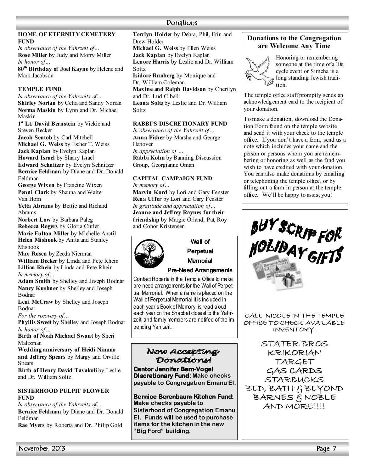### **HOME OF ETERITY CEMETERY FUND**

*In observance of the Yahrzeit of…*  **Rose Miller** by Judy and Morry Miller *In honor of…* 

**80th Birthday of Joel Kayne** by Helene and Mark Jacobson

# **TEMPLE FUND**

*In observance of the Yahrzeits of…*  **Shirley Norian** by Celia and Sandy Norian Norma Maskin by Lynn and Dr. Michael Maskin

**1 st Lt. David Bernstein** by Vickie and Steven Becker

**Jacob Sentob** by Carl Mitchell **Michael G. Weiss** by Esther T. Weiss **Jack Kaplan** by Evelyn Kaplan

**Howard Israel** by Sharry Israel

**Edward Schnitzer** by Evelyn Schnitzer **Bernice Feldman** by Diane and Dr. Donald Feldman

**George Wixen** by Francine Wixen **Penni Clark** by Shauna and Walter Van Horn

**Yetta Abrams** by Bettie and Richard Abrams

**Norbert Low** by Barbara Paleg **Rebecca Rogers** by Gloria Cutler **Marie Fulton Miller** by Michelle Anctil **Helen Mishook** by Anita and Stanley Mishook

**Max Rosen** by Zeeda Nierman **William Becker** by Linda and Pete Rhein **Lillian Rhein** by Linda and Pete Rhein *In memory of…* 

**Adam Smith** by Shelley and Joseph Bodnar **ancy Kushner** by Shelley and Joseph Bodnar

**Leni McCraw** by Shelley and Joseph Bodnar

*For the recovery of…* 

**Phyllis Sweet** by Shelley and Joseph Bodnar *In honor of…* 

**Birth of Noah Michael Swant** by Sheri Maltzman

**Wedding anniversary of Heidi Nimmo and Jeffrey Spears** by Margy and Orville **Spears** 

**Birth of Henry David Tavakoli** by Leslie and Dr. William Soltz

# **SISTERHOOD PULPIT FLOWER FUD**

*In observance of the Yahrzeits of…* **Bernice Feldman** by Diane and Dr. Donald Feldman

**Rae Myers** by Roberta and Dr. Philip Gold

**Terrlyn Holder** by Debra, Phil, Erin and Drew Holder **Michael G. Weiss** by Ellen Weiss

**Jack Kaplan** by Evelyn Kaplan

**Lenore Harris** by Leslie and Dr. William Soltz

**Isidore Runberg** by Monique and Dr. William Coleman

**Maxine and Ralph Davidson** by Cherilyn and Dr. Lud Cibelli

**Leona Soltz** by Leslie and Dr. William Soltz

# **RABBI'S DISCRETIONARY FUND**

*In observance of the Yahrzeit of…*  **Anna Fisher** by Marsha and George Hanover

*In appreciation of …*  **Rabbi Kohn** by Banning Discussion Group, Georgianne Oman

#### **CAPITAL CAMPAIGN FUND** *In memory of…*

**Marvin Kord** by Lori and Gary Fenster **Rena Uffer** by Lori and Gary Fenster *In gratitude and appreciation of…*  **Jeanne and Jeffrey Raynes for their friendship** by Margie Orland, Pat, Roy and Conor Kristensen



Wall of Perpetual

Memorial

# Pre-Need Arrangements

Contact Roberta in the Temple Office to make pre-need arrangements for the Wall of Perpetual Memorial. When a name is placed on the Wall of Perpetual Memorial it is included in each year's Book of Memory, is read aloud each year on the Shabbat closest to the Yahrzeit, and family members are notified of the impending Yahrzeit.

# Now Accepting Donations

**Cantor Jennifer Bern-Vogel Discretionary Fund: Make checks payable to Congregation Emanu El.** 

**Bernice Berenbaum Kitchen Fund: Make checks payable to Sisterhood of Congregation Emanu El. Funds will be used to purchase items for the kitchen in the new "Big Ford" building.**

# **Donations to the Congregation are Welcome Any Time**



Honoring or remembering someone at the time of a life<br>cycle event or Simcha is a cycle event or Simcha is a long standing Jewish tradition.

The temple office staff promptly sends an acknowledgement card to the recipient of your donation.

To make a donation, download the Donation Form found on the temple website and send it with your check to the temple office. If you don't have a form, send us a note which includes your name and the person or persons whom you are remembering or honoring as well as the fund you wish to have credited with your donation. You can also make donations by emailing or telephoning the temple office, or by filling out a form in person at the temple office. We'll be happy to assist you!



CALL NICOLE IN THE TEMPLE OFFICE TO CHECK AVAILABLE INVENTORY:

STATER BROS KRIKORIAN TARGET GAS CARDS STARBUCKS BED, BATH & BEYOND BARNES & NOBLE AND MORE!!!!